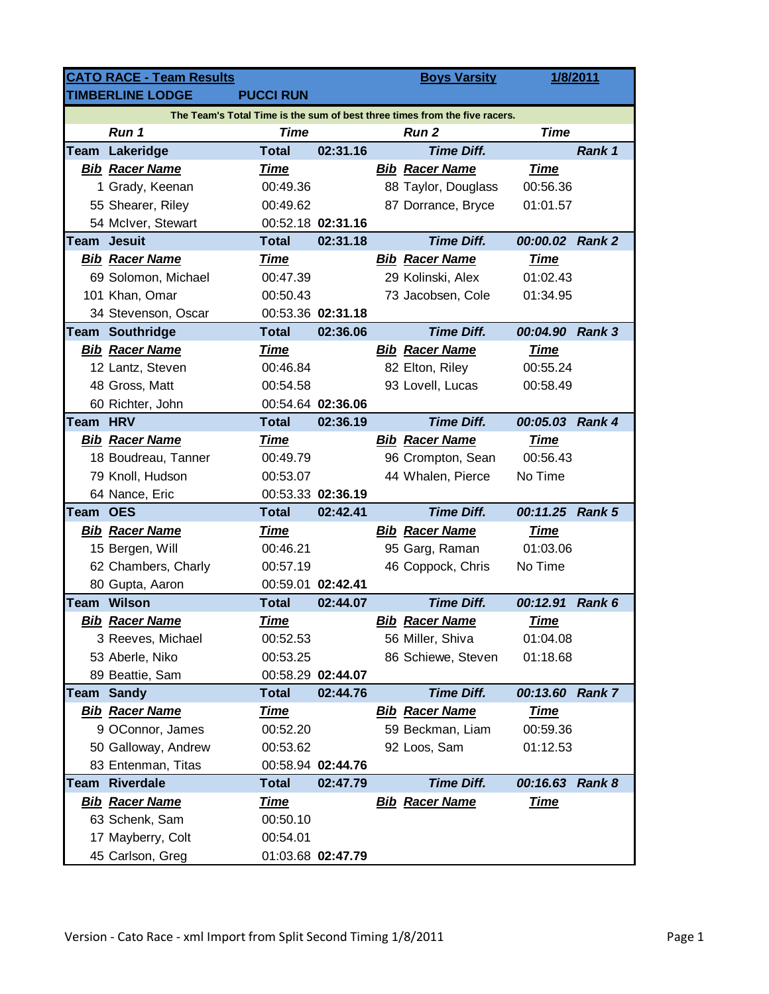|                                                                            | <b>CATO RACE - Team Results</b> |                  |                   |  | <b>Boys Varsity</b>   |             | 1/8/2011      |  |  |  |  |
|----------------------------------------------------------------------------|---------------------------------|------------------|-------------------|--|-----------------------|-------------|---------------|--|--|--|--|
|                                                                            | <b>TIMBERLINE LODGE</b>         | <b>PUCCI RUN</b> |                   |  |                       |             |               |  |  |  |  |
| The Team's Total Time is the sum of best three times from the five racers. |                                 |                  |                   |  |                       |             |               |  |  |  |  |
|                                                                            | Run 1                           | <b>Time</b>      |                   |  | <b>Run 2</b>          | <b>Time</b> |               |  |  |  |  |
|                                                                            | Team Lakeridge                  | <b>Total</b>     | 02:31.16          |  | <b>Time Diff.</b>     |             | Rank 1        |  |  |  |  |
|                                                                            | <b>Bib Racer Name</b>           | <u>Time</u>      |                   |  | <b>Bib Racer Name</b> | <u>Time</u> |               |  |  |  |  |
|                                                                            | 1 Grady, Keenan                 | 00:49.36         |                   |  | 88 Taylor, Douglass   | 00:56.36    |               |  |  |  |  |
|                                                                            | 55 Shearer, Riley               | 00:49.62         |                   |  | 87 Dorrance, Bryce    | 01:01.57    |               |  |  |  |  |
|                                                                            | 54 McIver, Stewart              |                  | 00:52.18 02:31.16 |  |                       |             |               |  |  |  |  |
| Team                                                                       | <b>Jesuit</b>                   | <b>Total</b>     | 02:31.18          |  | <b>Time Diff.</b>     | 00:00.02    | <b>Rank 2</b> |  |  |  |  |
|                                                                            | <b>Bib Racer Name</b>           | <b>Time</b>      |                   |  | <b>Bib Racer Name</b> | <b>Time</b> |               |  |  |  |  |
|                                                                            | 69 Solomon, Michael             | 00:47.39         |                   |  | 29 Kolinski, Alex     | 01:02.43    |               |  |  |  |  |
|                                                                            | 101 Khan, Omar                  | 00:50.43         |                   |  | 73 Jacobsen, Cole     | 01:34.95    |               |  |  |  |  |
|                                                                            | 34 Stevenson, Oscar             |                  | 00:53.36 02:31.18 |  |                       |             |               |  |  |  |  |
|                                                                            | <b>Team Southridge</b>          | <b>Total</b>     | 02:36.06          |  | <b>Time Diff.</b>     | 00:04.90    | <b>Rank 3</b> |  |  |  |  |
|                                                                            | <b>Bib Racer Name</b>           | <b>Time</b>      |                   |  | <b>Bib Racer Name</b> | <b>Time</b> |               |  |  |  |  |
|                                                                            | 12 Lantz, Steven                | 00:46.84         |                   |  | 82 Elton, Riley       | 00:55.24    |               |  |  |  |  |
|                                                                            | 48 Gross, Matt                  | 00:54.58         |                   |  | 93 Lovell, Lucas      | 00:58.49    |               |  |  |  |  |
|                                                                            | 60 Richter, John                |                  | 00:54.64 02:36.06 |  |                       |             |               |  |  |  |  |
| Team HRV                                                                   |                                 | <b>Total</b>     | 02:36.19          |  | <b>Time Diff.</b>     | 00:05.03    | <b>Rank 4</b> |  |  |  |  |
|                                                                            | <b>Bib Racer Name</b>           | <b>Time</b>      |                   |  | <b>Bib Racer Name</b> | <b>Time</b> |               |  |  |  |  |
|                                                                            | 18 Boudreau, Tanner             | 00:49.79         |                   |  | 96 Crompton, Sean     | 00:56.43    |               |  |  |  |  |
|                                                                            | 79 Knoll, Hudson                | 00:53.07         |                   |  | 44 Whalen, Pierce     | No Time     |               |  |  |  |  |
|                                                                            | 64 Nance, Eric                  |                  | 00:53.33 02:36.19 |  |                       |             |               |  |  |  |  |
| <b>Team OES</b>                                                            |                                 | <b>Total</b>     | 02:42.41          |  | <b>Time Diff.</b>     | 00:11.25    | <b>Rank 5</b> |  |  |  |  |
|                                                                            | <b>Bib Racer Name</b>           | <b>Time</b>      |                   |  | <b>Bib Racer Name</b> | <b>Time</b> |               |  |  |  |  |
|                                                                            | 15 Bergen, Will                 | 00:46.21         |                   |  | 95 Garg, Raman        | 01:03.06    |               |  |  |  |  |
|                                                                            | 62 Chambers, Charly             | 00:57.19         |                   |  | 46 Coppock, Chris     | No Time     |               |  |  |  |  |
|                                                                            | 80 Gupta, Aaron                 |                  | 00:59.01 02:42.41 |  |                       |             |               |  |  |  |  |
|                                                                            | <b>Team Wilson</b>              | <b>Total</b>     | 02:44.07          |  | <b>Time Diff.</b>     | 00:12.91    | Rank 6        |  |  |  |  |
|                                                                            | <b>Bib Racer Name</b>           | <b>Time</b>      |                   |  | <b>Bib Racer Name</b> | <b>Time</b> |               |  |  |  |  |
|                                                                            | 3 Reeves, Michael               | 00:52.53         |                   |  | 56 Miller, Shiva      | 01:04.08    |               |  |  |  |  |
|                                                                            | 53 Aberle, Niko                 | 00:53.25         |                   |  | 86 Schiewe, Steven    | 01:18.68    |               |  |  |  |  |
|                                                                            | 89 Beattie, Sam                 |                  | 00:58.29 02:44.07 |  |                       |             |               |  |  |  |  |
|                                                                            | <b>Team Sandy</b>               | <b>Total</b>     | 02:44.76          |  | <b>Time Diff.</b>     | 00:13.60    | <b>Rank 7</b> |  |  |  |  |
|                                                                            | <b>Bib Racer Name</b>           | <b>Time</b>      |                   |  | <b>Bib Racer Name</b> | <u>Time</u> |               |  |  |  |  |
|                                                                            | 9 OConnor, James                | 00:52.20         |                   |  | 59 Beckman, Liam      | 00:59.36    |               |  |  |  |  |
|                                                                            | 50 Galloway, Andrew             | 00:53.62         |                   |  | 92 Loos, Sam          | 01:12.53    |               |  |  |  |  |
|                                                                            | 83 Entenman, Titas              |                  | 00:58.94 02:44.76 |  |                       |             |               |  |  |  |  |
|                                                                            | Team Riverdale                  | <b>Total</b>     | 02:47.79          |  | <b>Time Diff.</b>     | 00:16.63    | Rank 8        |  |  |  |  |
|                                                                            | <b>Bib Racer Name</b>           | <b>Time</b>      |                   |  | <b>Bib Racer Name</b> | <u>Time</u> |               |  |  |  |  |
|                                                                            | 63 Schenk, Sam                  | 00:50.10         |                   |  |                       |             |               |  |  |  |  |
|                                                                            | 17 Mayberry, Colt               | 00:54.01         |                   |  |                       |             |               |  |  |  |  |
|                                                                            | 45 Carlson, Greg                |                  | 01:03.68 02:47.79 |  |                       |             |               |  |  |  |  |